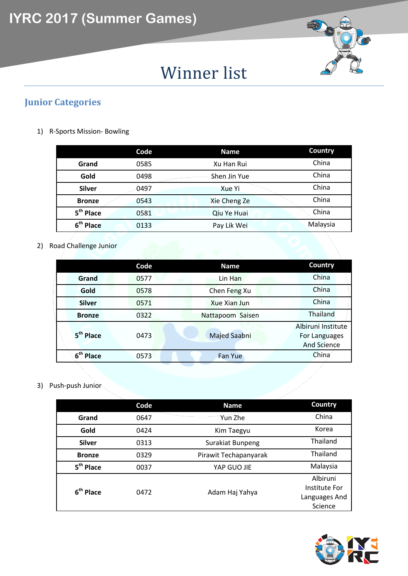

# Winner list

### **Junior Categories**

1) R-Sports Mission- Bowling

|                       | Code | <b>Name</b>  | Country  |
|-----------------------|------|--------------|----------|
| Grand                 | 0585 | Xu Han Rui   | China    |
| Gold                  | 0498 | Shen Jin Yue | China    |
| <b>Silver</b>         | 0497 | Xue Yi       | China    |
| <b>Bronze</b>         | 0543 | Xie Cheng Ze | China    |
| 5 <sup>th</sup> Place | 0581 | Qiu Ye Huai  | China    |
| 6 <sup>th</sup> Place | 0133 | Pay Lik Wei  | Malaysia |
|                       |      |              |          |

2) Road Challenge Junior

|                          | Code | <b>Name</b>         | Country                                                   |
|--------------------------|------|---------------------|-----------------------------------------------------------|
| Grand                    | 0577 | Lin Han             | China                                                     |
| Gold                     | 0578 | Chen Feng Xu        | China                                                     |
| <b>Silver</b>            | 0571 | <b>Xue Xian Jun</b> | China                                                     |
| <b>Bronze</b>            | 0322 | Nattapoom Saisen    | Thailand                                                  |
| 5 <sup>th</sup> Place    | 0473 | Majed Saabni        | Albiruni Institute<br>For Languages<br><b>And Science</b> |
| 6 <sup>th</sup><br>Place | 0573 | Fan Yue             | China                                                     |

3) Push-push Junior

|                       | Code | <b>Name</b>           | Country                                               |
|-----------------------|------|-----------------------|-------------------------------------------------------|
| Grand                 | 0647 | Yun Zhe               | China                                                 |
| Gold                  | 0424 | Kim Taegyu            | Korea                                                 |
| <b>Silver</b>         | 0313 | Surakiat Bunpeng      | <b>Thailand</b>                                       |
| <b>Bronze</b>         | 0329 | Pirawit Techapanyarak | <b>Thailand</b>                                       |
| 5 <sup>th</sup> Place | 0037 | YAP GUO JIE           | Malaysia                                              |
| 6 <sup>th</sup> Place | 0472 | Adam Haj Yahya        | Albiruni<br>Institute For<br>Languages And<br>Science |

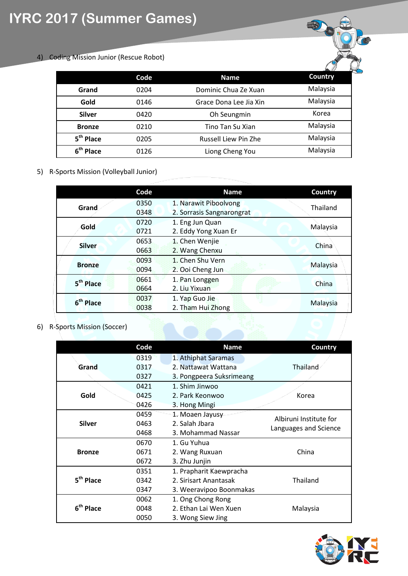## **IYRC 2017 (Summer Games)**

4) Coding Mission Junior (Rescue Robot)

|                       | Code | Name                   | $\sim$ $\prime$ $\prime$<br>Country |
|-----------------------|------|------------------------|-------------------------------------|
| Grand                 | 0204 | Dominic Chua Ze Xuan   | Malaysia                            |
| Gold                  | 0146 | Grace Dona Lee Jia Xin | Malaysia                            |
| <b>Silver</b>         | 0420 | Oh Seungmin            | Korea                               |
| <b>Bronze</b>         | 0210 | Tino Tan Su Xian       | Malaysia                            |
| 5 <sup>th</sup> Place | 0205 | Russell Liew Pin Zhe   | Malaysia                            |
| 6 <sup>th</sup> Place | 0126 | Liong Cheng You        | Malaysia                            |

5) R-Sports Mission (Volleyball Junior)

|                       | Code         | <b>Name</b>                                        | Country  |
|-----------------------|--------------|----------------------------------------------------|----------|
| Grand                 | 0350<br>0348 | 1. Narawit Piboolvong<br>2. Sorrasis Sangnarongrat | Thailand |
| Gold                  | 0720<br>0721 | 1. Eng Jun Quan<br>2. Eddy Yong Xuan Er            | Malaysia |
| <b>Silver</b>         | 0653<br>0663 | 1. Chen Wenjie<br>2. Wang Chenxu                   | China    |
| <b>Bronze</b>         | 0093<br>0094 | 1. Chen Shu Vern<br>2. Ooi Cheng Jun               | Malaysia |
| 5 <sup>th</sup> Place | 0661<br>0664 | 1. Pan Longgen<br>2. Liu Yixuan                    | China    |
| 6 <sup>th</sup> Place | 0037<br>0038 | 1. Yap Guo Jie<br>2. Tham Hui Zhong                | Malaysia |

6) R-Sports Mission (Soccer)

|                       | Code | <b>Name</b>              | Country                |
|-----------------------|------|--------------------------|------------------------|
|                       | 0319 | 1. Athiphat Saramas      |                        |
| Grand                 | 0317 | 2. Nattawat Wattana      | Thailand               |
|                       | 0327 | 3. Pongpeera Suksrimeang |                        |
|                       | 0421 | 1. Shim Jinwoo           |                        |
| Gold                  | 0425 | 2. Park Keonwoo          | Korea                  |
|                       | 0426 | 3. Hong Mingi            |                        |
|                       | 0459 | 1. Moaen Jayusy          | Albiruni Institute for |
| <b>Silver</b>         | 0463 | 2. Salah Jbara           | Languages and Science  |
|                       | 0468 | 3. Mohammad Nassar       |                        |
|                       | 0670 | 1. Gu Yuhua              |                        |
| <b>Bronze</b>         | 0671 | 2. Wang Ruxuan           | China                  |
|                       | 0672 | 3. Zhu Junjin            |                        |
|                       | 0351 | 1. Prapharit Kaewpracha  |                        |
| 5 <sup>th</sup> Place | 0342 | 2. Sirisart Anantasak    | Thailand               |
|                       | 0347 | 3. Weeravipoo Boonmakas  |                        |
|                       | 0062 | 1. Ong Chong Rong        |                        |
| 6 <sup>th</sup> Place | 0048 | 2. Ethan Lai Wen Xuen    | Malaysia               |
|                       | 0050 | 3. Wong Siew Jing        |                        |

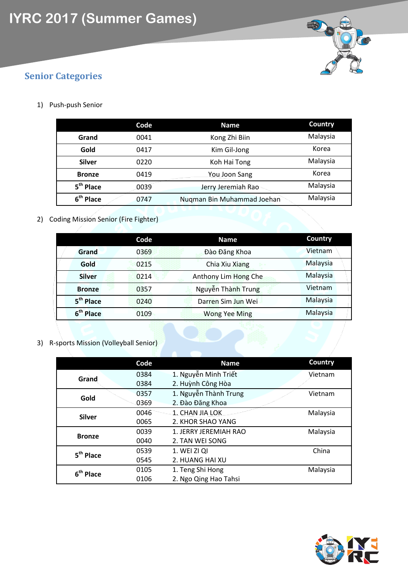

### **Senior Categories**

1) Push-push Senior

|                       | Code | <b>Name</b>                | Country  |
|-----------------------|------|----------------------------|----------|
| Grand                 | 0041 | Kong Zhi Biin              | Malaysia |
| Gold                  | 0417 | Kim Gil-Jong               | Korea    |
| <b>Silver</b>         | 0220 | Koh Hai Tong               | Malaysia |
| <b>Bronze</b>         | 0419 | You Joon Sang              | Korea    |
| 5 <sup>th</sup> Place | 0039 | Jerry Jeremiah Rao         | Malaysia |
| 6 <sup>th</sup> Place | 0747 | Nuqman Bin Muhammad Joehan | Malaysia |

2) Coding Mission Senior (Fire Fighter)

|                       | Code | <b>Name</b>          | Country  |
|-----------------------|------|----------------------|----------|
| Grand                 | 0369 | Đào Đăng Khoa        | Vietnam  |
| Gold                  | 0215 | Chia Xiu Xiang       | Malaysia |
| <b>Silver</b>         | 0214 | Anthony Lim Hong Che | Malaysia |
| <b>Bronze</b>         | 0357 | Nguyễn Thành Trung   | Vietnam  |
| 5 <sup>th</sup> Place | 0240 | Darren Sim Jun Wei   | Malaysia |
| 6 <sup>th</sup> Place | 0109 | <b>Wong Yee Ming</b> | Malaysia |

3) R-sports Mission (Volleyball Senior)

|                       | Code | <b>Name</b>           | Country  |
|-----------------------|------|-----------------------|----------|
| Grand                 | 0384 | 1. Nguyễn Minh Triết  | Vietnam  |
|                       | 0384 | 2. Huỳnh Công Hòa     |          |
| Gold                  | 0357 | 1. Nguyễn Thành Trung | Vietnam  |
|                       | 0369 | 2. Đào Đăng Khoa      |          |
| <b>Silver</b>         | 0046 | 1. CHAN JIA LOK       | Malaysia |
|                       | 0065 | 2. KHOR SHAO YANG     |          |
| <b>Bronze</b>         | 0039 | 1. JERRY JEREMIAH RAO | Malaysia |
|                       | 0040 | 2. TAN WEI SONG       |          |
| 5 <sup>th</sup> Place | 0539 | 1. WEI ZI QI          | China    |
|                       | 0545 | 2. HUANG HAI XU       |          |
| $6th$ Place           | 0105 | 1. Teng Shi Hong      | Malaysia |
|                       | 0106 | 2. Ngo Qing Hao Tahsi |          |

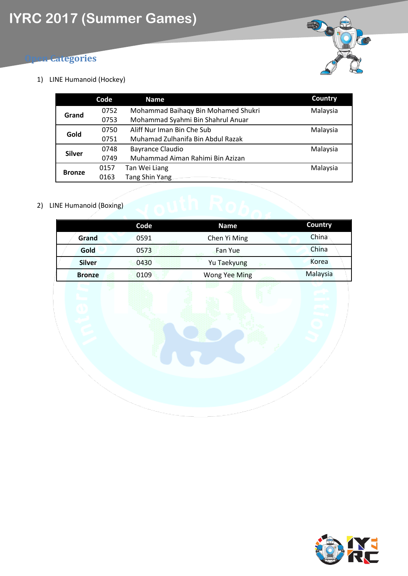### **Categories**

1) LINE Humanoid (Hockey)

|               | Code | <b>Name</b>                         | Country  |
|---------------|------|-------------------------------------|----------|
| Grand         | 0752 | Mohammad Baihaqy Bin Mohamed Shukri | Malaysia |
|               | 0753 | Mohammad Syahmi Bin Shahrul Anuar   |          |
| Gold          | 0750 | Aliff Nur Iman Bin Che Sub          | Malaysia |
|               | 0751 | Muhamad Zulhanifa Bin Abdul Razak   |          |
| <b>Silver</b> | 0748 | <b>Bayrance Claudio</b>             | Malaysia |
|               | 0749 | Muhammad Aiman Rahimi Bin Azizan    |          |
|               | 0157 | Tan Wei Liang                       | Malaysia |
| <b>Bronze</b> | 0163 | <b>Tang Shin Yang</b>               |          |

#### 2) LINE Humanoid (Boxing)

|               | Code | <b>Name</b>          | Country  |
|---------------|------|----------------------|----------|
| Grand         | 0591 | Chen Yi Ming         | China    |
| Gold          | 0573 | Fan Yue              | China    |
| <b>Silver</b> | 0430 | Yu Taekyung          | Korea    |
| <b>Bronze</b> | 0109 | <b>Wong Yee Ming</b> | Malaysia |

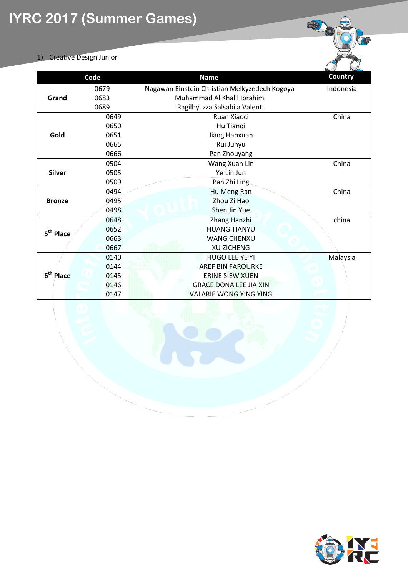#### 1) Creative Design Junior

|                       | Code | <b>Name</b>                                   | <b>Country</b> |
|-----------------------|------|-----------------------------------------------|----------------|
|                       | 0679 | Nagawan Einstein Christian Melkyzedech Kogoya | Indonesia      |
| Grand                 | 0683 | Muhammad Al Khalil Ibrahim                    |                |
|                       | 0689 | Ragilby Izza Salsabila Valent                 |                |
|                       | 0649 | Ruan Xiaoci                                   | China          |
|                       | 0650 | Hu Tianqi                                     |                |
| Gold                  | 0651 | Jiang Haoxuan                                 |                |
|                       | 0665 | Rui Junyu                                     |                |
|                       | 0666 | Pan Zhouyang                                  |                |
|                       | 0504 | Wang Xuan Lin                                 | China          |
| <b>Silver</b>         | 0505 | Ye Lin Jun                                    |                |
|                       | 0509 | Pan Zhi Ling                                  |                |
|                       | 0494 | Hu Meng Ran                                   | China          |
| <b>Bronze</b>         | 0495 | Zhou Zi Hao                                   |                |
|                       | 0498 | Shen Jin Yue                                  |                |
|                       | 0648 | Zhang Hanzhi                                  | china          |
| 5 <sup>th</sup> Place | 0652 | <b>HUANG TIANYU</b>                           |                |
|                       | 0663 | <b>WANG CHENXU</b>                            |                |
|                       | 0667 | <b>XU ZICHENG</b>                             |                |
|                       | 0140 | HUGO LEE YE YI                                | Malaysia       |
|                       | 0144 | <b>AREF BIN FAROURKE</b>                      |                |
| 6 <sup>th</sup> Place | 0145 | <b>ERINE SIEW XUEN</b>                        |                |
|                       | 0146 | <b>GRACE DONA LEE JIA XIN</b>                 |                |
|                       | 0147 | <b>VALARIE WONG YING YING</b>                 |                |



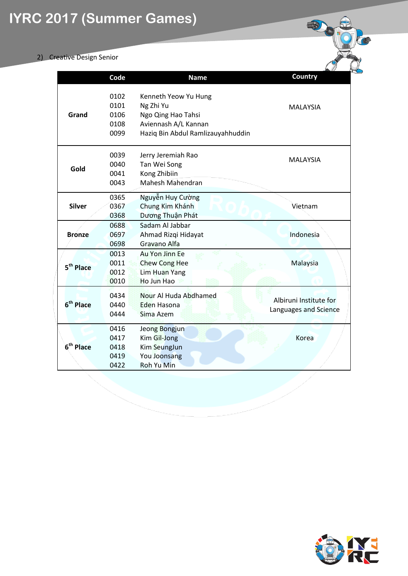## **IYRC 2017 (Summer Games)**

#### 2) Creative Design Senior

|                       | Code                                 | <b>Name</b>                                                                                                          | Country                                         |
|-----------------------|--------------------------------------|----------------------------------------------------------------------------------------------------------------------|-------------------------------------------------|
| Grand                 | 0102<br>0101<br>0106<br>0108<br>0099 | Kenneth Yeow Yu Hung<br>Ng Zhi Yu<br>Ngo Qing Hao Tahsi<br>Aviennash A/L Kannan<br>Haziq Bin Abdul Ramlizauyahhuddin | <b>MALAYSIA</b>                                 |
| Gold                  | 0039<br>0040<br>0041<br>0043         | Jerry Jeremiah Rao<br>Tan Wei Song<br>Kong Zhibiin<br>Mahesh Mahendran                                               | <b>MALAYSIA</b>                                 |
| <b>Silver</b>         | 0365<br>0367<br>0368                 | Nguyễn Huy Cường<br>Chung Kim Khánh<br>Dương Thuận Phát                                                              | Vietnam                                         |
| <b>Bronze</b>         | 0688<br>0697<br>0698                 | Sadam Al Jabbar<br>Ahmad Rizqi Hidayat<br>Gravano Alfa                                                               | Indonesia                                       |
| 5 <sup>th</sup> Place | 0013<br>0011<br>0012<br>0010         | <b>Au Yon Jinn Ee</b><br><b>Chew Cong Hee</b><br><b>Lim Huan Yang</b><br>Ho Jun Hao                                  | Malaysia                                        |
| 6 <sup>th</sup> Place | 0434<br>0440<br>0444                 | Nour Al Huda Abdhamed<br>Eden Hasona<br>Sima Azem                                                                    | Albiruni Institute for<br>Languages and Science |
| 6 <sup>th</sup> Place | 0416<br>0417<br>0418<br>0419<br>0422 | Jeong Bongjun<br>Kim Gil-Jong<br>Kim SeungJun<br>You Joonsang<br><b>Roh Yu Min</b>                                   | Korea                                           |